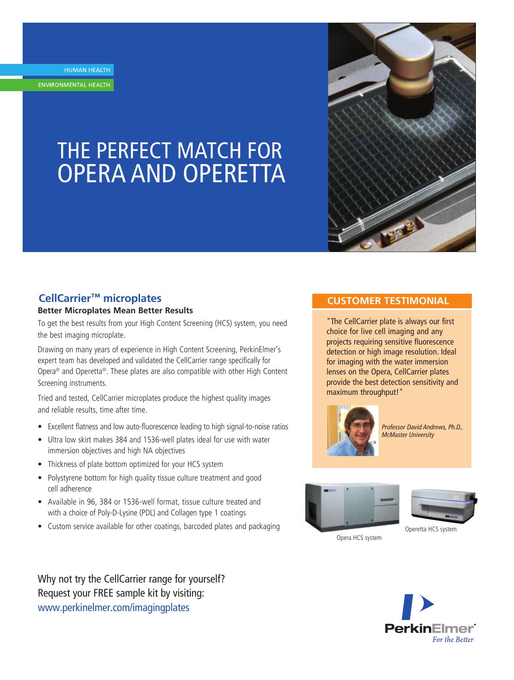HUMAN HEALTH

ENVIRONMENTAL HEALTH

# THE PERFECT MATCH FOR OPERA AND OPERETTA



## **CellCarrier™ microplates**

## **Better Microplates Mean Better Results**

To get the best results from your High Content Screening (HCS) system, you need the best imaging microplate.

Drawing on many years of experience in High Content Screening, PerkinElmer's expert team has developed and validated the CellCarrier range specifically for Opera® and Operetta®. These plates are also compatible with other High Content Screening instruments.

Tried and tested, CellCarrier microplates produce the highest quality images and reliable results, time after time.

- Excellent flatness and low auto-fluorescence leading to high signal-to-noise ratios
- Ultra low skirt makes 384 and 1536-well plates ideal for use with water immersion objectives and high NA objectives
- Thickness of plate bottom optimized for your HCS system
- Polystyrene bottom for high quality tissue culture treatment and good cell adherence
- Available in 96, 384 or 1536-well format, tissue culture treated and with a choice of Poly-D-Lysine (PDL) and Collagen type 1 coatings
- Custom service available for other coatings, barcoded plates and packaging

## **CUSTOMER TESTIMONIAL**

"The CellCarrier plate is always our first choice for live cell imaging and any projects requiring sensitive fluorescence detection or high image resolution. Ideal for imaging with the water immersion lenses on the Opera, CellCarrier plates provide the best detection sensitivity and maximum throughput!"



*Professor David Andrews, Ph.D., McMaster University*





Opera HCS system



Why not try the CellCarrier range for yourself? Request your FREE sample kit by visiting: www.perkinelmer.com/imagingplates